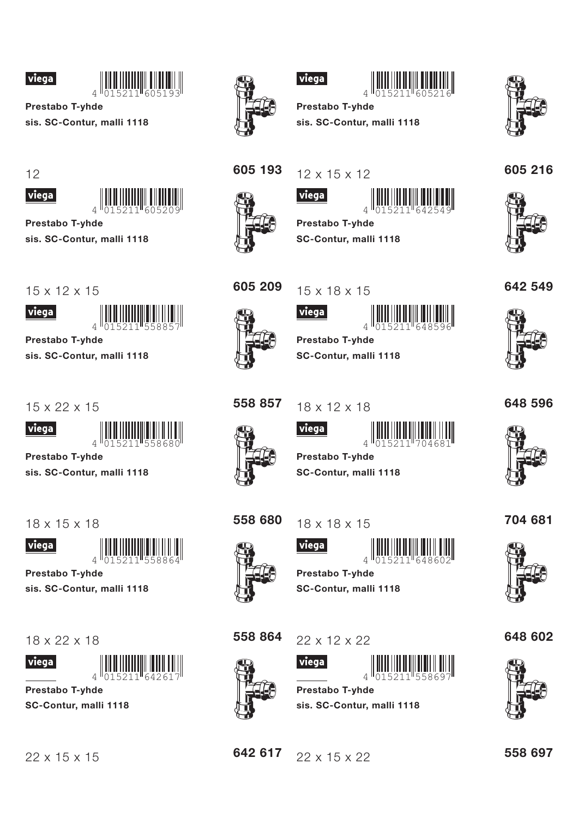



**Prestabo T-yhde** sis. SC-Contur, malli 1118

 $12$ 



Prestabo T-yhde

sis. SC-Contur, malli 1118

 $15 \times 12 \times 15$ 



Prestabo T-yhde

sis. SC-Contur, malli 1118

 $15 \times 22 \times 15$ 



**Prestabo T-vhde** 

sis. SC-Contur, malli 1118

 $18 \times 15 \times 18$ 





Prestabo T-vhde

sis. SC-Contur, malli 1118

18 x 22 x 18





Prestabo T-yhde SC-Contur, malli 1118





## viega



Prestabo T-yhde sis. SC-Contur, malli 1118



605 216



605 209

605 193

 $12 \times 15 \times 12$ | viega |



Prestabo T-yhde SC-Contur, malli 1118





<u>viega</u>



**Prestabo T-yhde** SC-Contur, malli 1118

558 857  $18 \times 12 \times 18$ 







SC-Contur, malli 1118



704 681



558 680  $18 \times 18 \times 15$ 





Prestabo T-vhde SC-Contur, malli 1118

558 864



 $22 \times 12 \times 22$ 



**Prestabo T-yhde** sis. SC-Contur, malli 1118

## 648 602



642 617 22 x 15 x 22 558 697





648 596



**Prestabo T-vhde**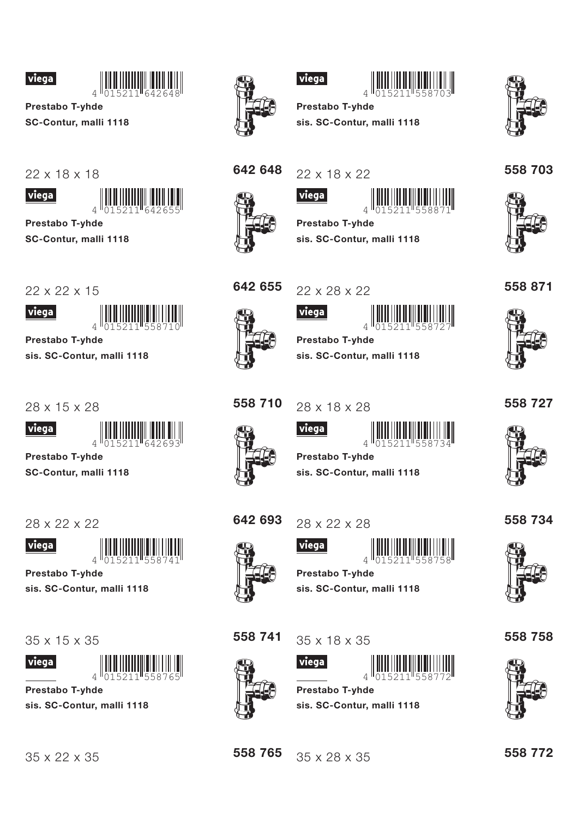



**Prestabo T-yhde** SC-Contur, malli 1118





Prestabo T-yhde

SC-Contur, malli 1118

22 x 22 x 15



**Prestabo T-yhde** 

sis. SC-Contur, malli 1118

28 x 15 x 28



Prestabo T-yhde

SC-Contur, malli 1118

28 x 22 x 22



Prestabo T-vhde

sis. SC-Contur, malli 1118

 $35 \times 15 \times 35$ 





Prestabo T-yhde sis. SC-Contur, malli 1118



viega



**Prestabo T-vhde** sis. SC-Contur, malli 1118



558 703

558 871



642 648

22 x 18 x 22 viega





Prestabo T-yhde sis. SC-Contur, malli 1118



22 x 28 x 22

<u>viega</u>



**Prestabo T-yhde** sis. SC-Contur, malli 1118

558 710 28 x 18 x 28



viega





**Prestabo T-vhde** sis. SC-Contur, malli 1118

642 693

28 x 22 x 28

viega



Prestabo T-vhde

sis. SC-Contur, malli 1118





558 765

 $35 \times 18 \times 35$ 

35 x 28 x 35

viega

**Prestabo T-yhde** sis. SC-Contur, malli 1118





558 772

558 734



558 727